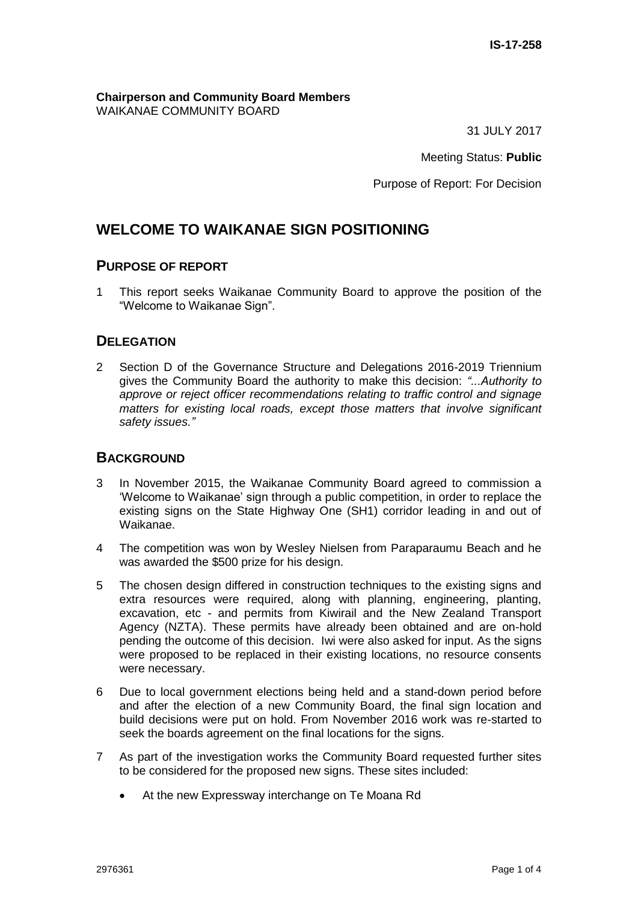**Chairperson and Community Board Members** WAIKANAE COMMUNITY BOARD

31 JULY 2017

Meeting Status: **Public**

Purpose of Report: For Decision

## **WELCOME TO WAIKANAE SIGN POSITIONING**

#### **PURPOSE OF REPORT**

1 This report seeks Waikanae Community Board to approve the position of the "Welcome to Waikanae Sign".

## **DELEGATION**

2 Section D of the Governance Structure and Delegations 2016-2019 Triennium gives the Community Board the authority to make this decision: *"...Authority to approve or reject officer recommendations relating to traffic control and signage matters for existing local roads, except those matters that involve significant safety issues."*

#### **BACKGROUND**

- 3 In November 2015, the Waikanae Community Board agreed to commission a 'Welcome to Waikanae' sign through a public competition, in order to replace the existing signs on the State Highway One (SH1) corridor leading in and out of Waikanae.
- 4 The competition was won by Wesley Nielsen from Paraparaumu Beach and he was awarded the \$500 prize for his design.
- 5 The chosen design differed in construction techniques to the existing signs and extra resources were required, along with planning, engineering, planting, excavation, etc - and permits from Kiwirail and the New Zealand Transport Agency (NZTA). These permits have already been obtained and are on-hold pending the outcome of this decision. Iwi were also asked for input. As the signs were proposed to be replaced in their existing locations, no resource consents were necessary.
- 6 Due to local government elections being held and a stand-down period before and after the election of a new Community Board, the final sign location and build decisions were put on hold. From November 2016 work was re-started to seek the boards agreement on the final locations for the signs.
- 7 As part of the investigation works the Community Board requested further sites to be considered for the proposed new signs. These sites included:
	- At the new Expressway interchange on Te Moana Rd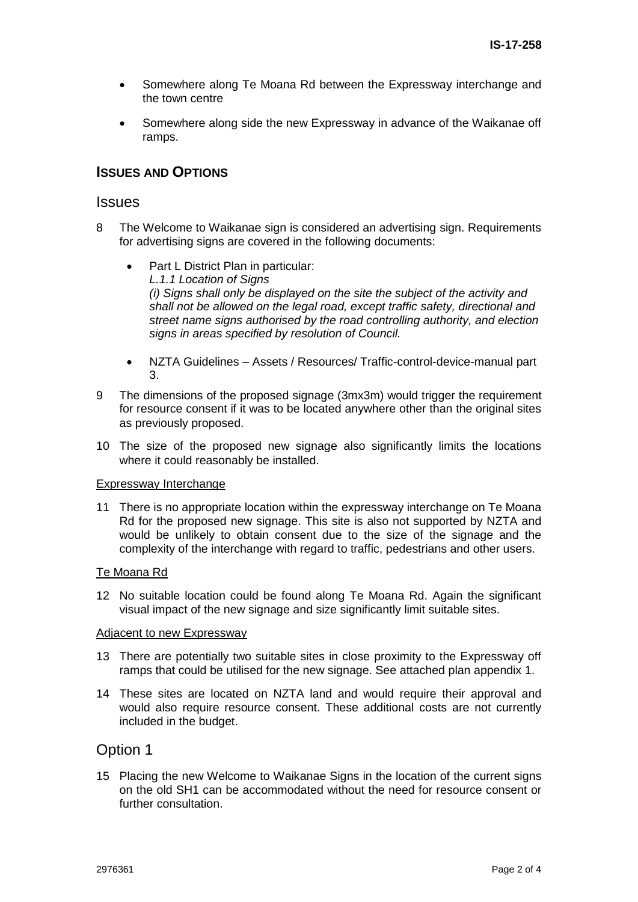- Somewhere along Te Moana Rd between the Expressway interchange and the town centre
- Somewhere along side the new Expressway in advance of the Waikanae off ramps.

## **ISSUES AND OPTIONS**

#### **Issues**

- 8 The Welcome to Waikanae sign is considered an advertising sign. Requirements for advertising signs are covered in the following documents:
	- Part L District Plan in particular: *L.1.1 Location of Signs (i) Signs shall only be displayed on the site the subject of the activity and shall not be allowed on the legal road, except traffic safety, directional and street name signs authorised by the road controlling authority, and election signs in areas specified by resolution of Council.*
	- NZTA Guidelines Assets / Resources/ Traffic-control-device-manual part 3.
- 9 The dimensions of the proposed signage (3mx3m) would trigger the requirement for resource consent if it was to be located anywhere other than the original sites as previously proposed.
- 10 The size of the proposed new signage also significantly limits the locations where it could reasonably be installed.

#### Expressway Interchange

11 There is no appropriate location within the expressway interchange on Te Moana Rd for the proposed new signage. This site is also not supported by NZTA and would be unlikely to obtain consent due to the size of the signage and the complexity of the interchange with regard to traffic, pedestrians and other users.

#### Te Moana Rd

12 No suitable location could be found along Te Moana Rd. Again the significant visual impact of the new signage and size significantly limit suitable sites.

#### Adjacent to new Expressway

- 13 There are potentially two suitable sites in close proximity to the Expressway off ramps that could be utilised for the new signage. See attached plan appendix 1.
- 14 These sites are located on NZTA land and would require their approval and would also require resource consent. These additional costs are not currently included in the budget.

## Option 1

15 Placing the new Welcome to Waikanae Signs in the location of the current signs on the old SH1 can be accommodated without the need for resource consent or further consultation.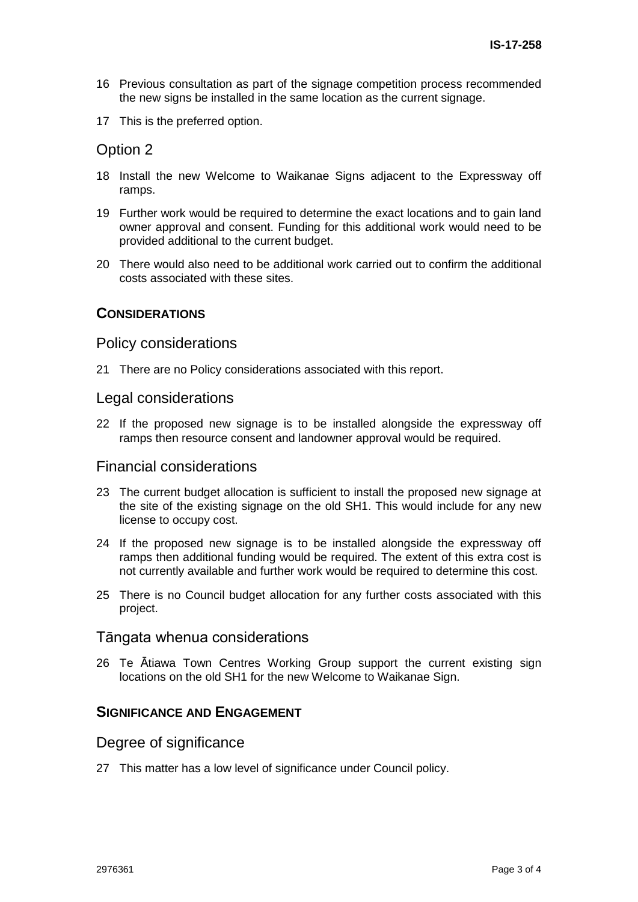- 16 Previous consultation as part of the signage competition process recommended the new signs be installed in the same location as the current signage.
- 17 This is the preferred option.

## Option 2

- 18 Install the new Welcome to Waikanae Signs adjacent to the Expressway off ramps.
- 19 Further work would be required to determine the exact locations and to gain land owner approval and consent. Funding for this additional work would need to be provided additional to the current budget.
- 20 There would also need to be additional work carried out to confirm the additional costs associated with these sites.

#### **CONSIDERATIONS**

#### Policy considerations

21 There are no Policy considerations associated with this report.

#### Legal considerations

22 If the proposed new signage is to be installed alongside the expressway off ramps then resource consent and landowner approval would be required.

## Financial considerations

- 23 The current budget allocation is sufficient to install the proposed new signage at the site of the existing signage on the old SH1. This would include for any new license to occupy cost.
- 24 If the proposed new signage is to be installed alongside the expressway off ramps then additional funding would be required. The extent of this extra cost is not currently available and further work would be required to determine this cost.
- 25 There is no Council budget allocation for any further costs associated with this project.

#### Tāngata whenua considerations

26 Te Ātiawa Town Centres Working Group support the current existing sign locations on the old SH1 for the new Welcome to Waikanae Sign.

## **SIGNIFICANCE AND ENGAGEMENT**

#### Degree of significance

27 This matter has a low level of significance under Council policy.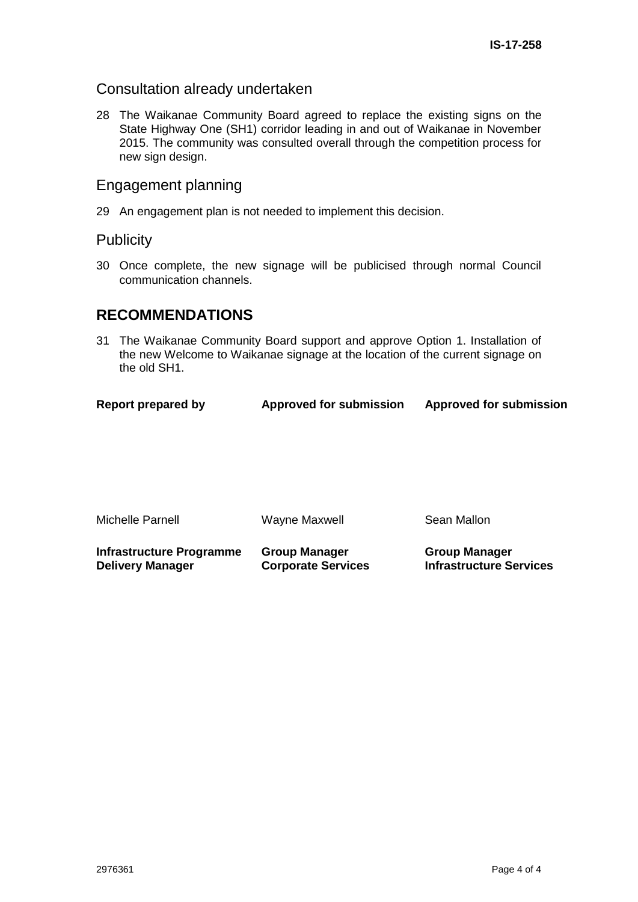## Consultation already undertaken

28 The Waikanae Community Board agreed to replace the existing signs on the State Highway One (SH1) corridor leading in and out of Waikanae in November 2015. The community was consulted overall through the competition process for new sign design.

## Engagement planning

29 An engagement plan is not needed to implement this decision.

## **Publicity**

30 Once complete, the new signage will be publicised through normal Council communication channels.

## **RECOMMENDATIONS**

31 The Waikanae Community Board support and approve Option 1. Installation of the new Welcome to Waikanae signage at the location of the current signage on the old SH1.

| <b>Report prepared by</b> | <b>Approved for submission</b> | <b>Approved for submission</b> |
|---------------------------|--------------------------------|--------------------------------|
|                           |                                |                                |

| Michelle Parnell | Wayne Maxwell | Sean Mallon |
|------------------|---------------|-------------|
|                  |               |             |

**Infrastructure Programme Delivery Manager Group Manager Corporate Services Group Manager Infrastructure Services**